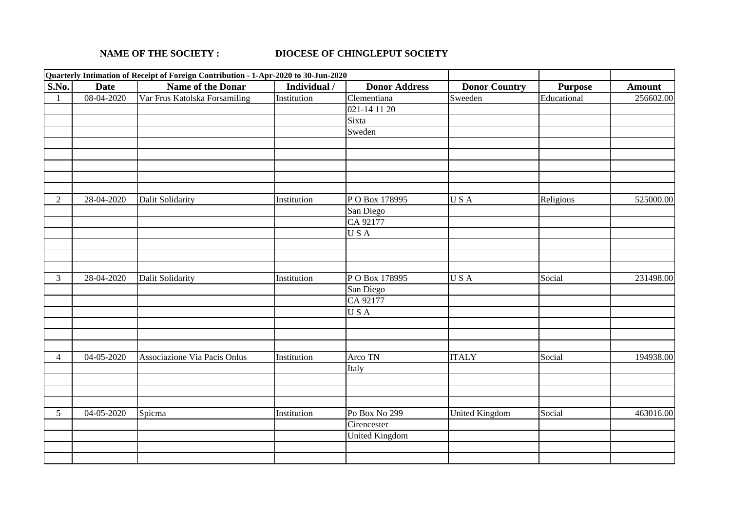## **NAME OF THE SOCIETY : DIOCESE OF CHINGLEPUT SOCIETY**

|                |                          | Quarterly Intimation of Receipt of Foreign Contribution - 1-Apr-2020 to 30-Jun-2020 |              |                                  |                      |                |               |
|----------------|--------------------------|-------------------------------------------------------------------------------------|--------------|----------------------------------|----------------------|----------------|---------------|
| S.No.          | <b>Date</b>              | Name of the Donar                                                                   | Individual / | <b>Donor Address</b>             | <b>Donor Country</b> | <b>Purpose</b> | <b>Amount</b> |
| 1              | $08-04-2020$             | Var Frus Katolska Forsamiling                                                       | Institution  | $\overline{\text{Clement}}$ iana | Sweeden              | Educational    | 256602.00     |
|                |                          |                                                                                     |              | 021-14 11 20                     |                      |                |               |
|                |                          |                                                                                     |              | Sixta                            |                      |                |               |
|                |                          |                                                                                     |              | Sweden                           |                      |                |               |
|                |                          |                                                                                     |              |                                  |                      |                |               |
|                |                          |                                                                                     |              |                                  |                      |                |               |
|                |                          |                                                                                     |              |                                  |                      |                |               |
|                |                          |                                                                                     |              |                                  |                      |                |               |
|                |                          |                                                                                     |              |                                  |                      |                |               |
| $\overline{2}$ | 28-04-2020               | <b>Dalit Solidarity</b>                                                             | Institution  | PO Box 178995                    | USA                  | Religious      | 525000.00     |
|                |                          |                                                                                     |              | San Diego                        |                      |                |               |
|                |                          |                                                                                     |              | CA 92177                         |                      |                |               |
|                |                          |                                                                                     |              | USA                              |                      |                |               |
|                |                          |                                                                                     |              |                                  |                      |                |               |
|                |                          |                                                                                     |              |                                  |                      |                |               |
|                |                          |                                                                                     |              |                                  |                      |                |               |
| $\mathfrak{Z}$ | 28-04-2020               | <b>Dalit Solidarity</b>                                                             | Institution  | PO Box 178995                    | USA                  | Social         | 231498.00     |
|                |                          |                                                                                     |              | San Diego                        |                      |                |               |
|                |                          |                                                                                     |              | CA 92177                         |                      |                |               |
|                |                          |                                                                                     |              | USA                              |                      |                |               |
|                |                          |                                                                                     |              |                                  |                      |                |               |
|                |                          |                                                                                     |              |                                  |                      |                |               |
|                |                          |                                                                                     |              |                                  |                      |                |               |
| $\overline{4}$ | $\overline{0}$ 4-05-2020 | Associazione Via Pacis Onlus                                                        | Institution  | Arco TN                          | <b>ITALY</b>         | Social         | 194938.00     |
|                |                          |                                                                                     |              | Italy                            |                      |                |               |
|                |                          |                                                                                     |              |                                  |                      |                |               |
|                |                          |                                                                                     |              |                                  |                      |                |               |
|                |                          |                                                                                     |              |                                  |                      |                |               |
| 5 <sup>5</sup> | 04-05-2020               | Spicma                                                                              | Institution  | Po Box No 299                    | United Kingdom       | Social         | 463016.00     |
|                |                          |                                                                                     |              | Cirencester                      |                      |                |               |
|                |                          |                                                                                     |              | <b>United Kingdom</b>            |                      |                |               |
|                |                          |                                                                                     |              |                                  |                      |                |               |
|                |                          |                                                                                     |              |                                  |                      |                |               |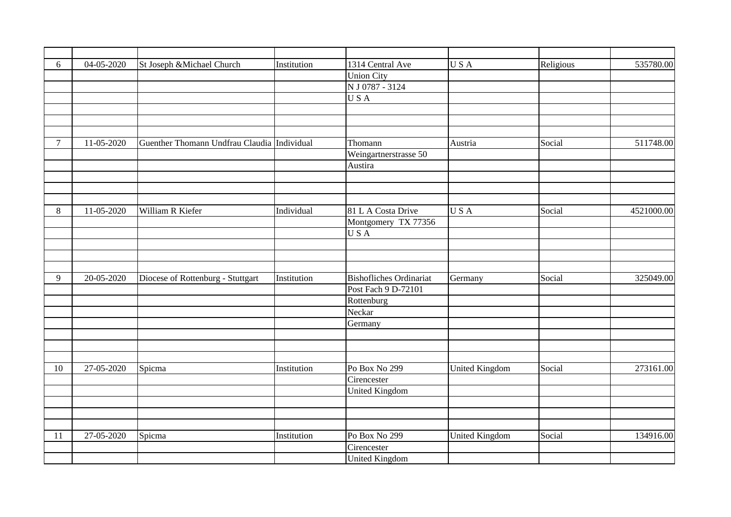| 6      | 04-05-2020   | St Joseph & Michael Church                  | Institution | 1314 Central Ave               | USA                   | Religious | 535780.00  |
|--------|--------------|---------------------------------------------|-------------|--------------------------------|-----------------------|-----------|------------|
|        |              |                                             |             | <b>Union City</b>              |                       |           |            |
|        |              |                                             |             | N J 0787 - 3124                |                       |           |            |
|        |              |                                             |             | USA                            |                       |           |            |
|        |              |                                             |             |                                |                       |           |            |
|        |              |                                             |             |                                |                       |           |            |
|        |              |                                             |             |                                |                       |           |            |
|        |              |                                             |             |                                |                       |           |            |
| $\tau$ | 11-05-2020   | Guenther Thomann Undfrau Claudia Individual |             | Thomann                        | Austria               | Social    | 511748.00  |
|        |              |                                             |             | Weingartnerstrasse 50          |                       |           |            |
|        |              |                                             |             | Austira                        |                       |           |            |
|        |              |                                             |             |                                |                       |           |            |
|        |              |                                             |             |                                |                       |           |            |
|        |              |                                             |             |                                |                       |           |            |
| 8      | $11-05-2020$ | William R Kiefer                            | Individual  | 81 L A Costa Drive             | USA                   | Social    | 4521000.00 |
|        |              |                                             |             | Montgomery TX 77356            |                       |           |            |
|        |              |                                             |             | USA                            |                       |           |            |
|        |              |                                             |             |                                |                       |           |            |
|        |              |                                             |             |                                |                       |           |            |
|        |              |                                             |             |                                |                       |           |            |
| 9      | 20-05-2020   | Diocese of Rottenburg - Stuttgart           | Institution | <b>Bishofliches Ordinariat</b> | Germany               | Social    | 325049.00  |
|        |              |                                             |             | Post Fach 9 D-72101            |                       |           |            |
|        |              |                                             |             | Rottenburg                     |                       |           |            |
|        |              |                                             |             | Neckar                         |                       |           |            |
|        |              |                                             |             |                                |                       |           |            |
|        |              |                                             |             | Germany                        |                       |           |            |
|        |              |                                             |             |                                |                       |           |            |
|        |              |                                             |             |                                |                       |           |            |
|        |              |                                             |             |                                |                       |           |            |
| 10     | 27-05-2020   | Spicma                                      | Institution | Po Box No 299                  | <b>United Kingdom</b> | Social    | 273161.00  |
|        |              |                                             |             | Cirencester                    |                       |           |            |
|        |              |                                             |             | <b>United Kingdom</b>          |                       |           |            |
|        |              |                                             |             |                                |                       |           |            |
|        |              |                                             |             |                                |                       |           |            |
|        |              |                                             |             |                                |                       |           |            |
| 11     | 27-05-2020   | Spicma                                      | Institution | Po Box No 299                  | <b>United Kingdom</b> | Social    | 134916.00  |
|        |              |                                             |             | Cirencester                    |                       |           |            |
|        |              |                                             |             | <b>United Kingdom</b>          |                       |           |            |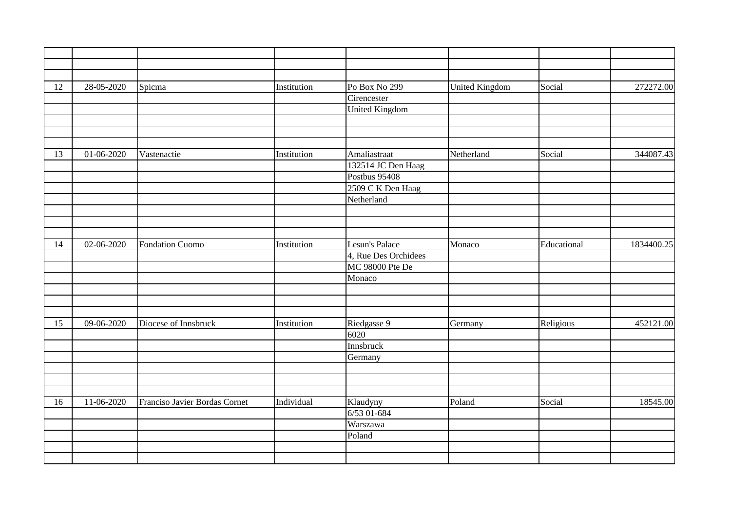| 12 | 28-05-2020 | Spicma                        | Institution | Po Box No 299         | <b>United Kingdom</b> | Social      | 272272.00  |
|----|------------|-------------------------------|-------------|-----------------------|-----------------------|-------------|------------|
|    |            |                               |             | Cirencester           |                       |             |            |
|    |            |                               |             | <b>United Kingdom</b> |                       |             |            |
|    |            |                               |             |                       |                       |             |            |
|    |            |                               |             |                       |                       |             |            |
|    |            |                               |             |                       |                       |             |            |
| 13 | 01-06-2020 | Vastenactie                   | Institution | Amaliastraat          | Netherland            | Social      | 344087.43  |
|    |            |                               |             | 132514 JC Den Haag    |                       |             |            |
|    |            |                               |             | Postbus 95408         |                       |             |            |
|    |            |                               |             | 2509 C K Den Haag     |                       |             |            |
|    |            |                               |             | Netherland            |                       |             |            |
|    |            |                               |             |                       |                       |             |            |
|    |            |                               |             |                       |                       |             |            |
|    |            |                               |             |                       |                       |             |            |
| 14 | 02-06-2020 | <b>Fondation Cuomo</b>        | Institution | Lesun's Palace        | Monaco                | Educational | 1834400.25 |
|    |            |                               |             | 4, Rue Des Orchidees  |                       |             |            |
|    |            |                               |             | MC 98000 Pte De       |                       |             |            |
|    |            |                               |             | Monaco                |                       |             |            |
|    |            |                               |             |                       |                       |             |            |
|    |            |                               |             |                       |                       |             |            |
|    |            |                               |             |                       |                       |             |            |
| 15 | 09-06-2020 | Diocese of Innsbruck          | Institution | Riedgasse 9           | Germany               | Religious   | 452121.00  |
|    |            |                               |             | 6020                  |                       |             |            |
|    |            |                               |             | Innsbruck             |                       |             |            |
|    |            |                               |             | Germany               |                       |             |            |
|    |            |                               |             |                       |                       |             |            |
|    |            |                               |             |                       |                       |             |            |
|    |            |                               |             |                       |                       |             |            |
| 16 | 11-06-2020 | Franciso Javier Bordas Cornet | Individual  | Klaudyny              | Poland                | Social      | 18545.00   |
|    |            |                               |             | 6/53 01-684           |                       |             |            |
|    |            |                               |             | Warszawa              |                       |             |            |
|    |            |                               |             |                       |                       |             |            |
|    |            |                               |             |                       |                       |             |            |
|    |            |                               |             | Poland                |                       |             |            |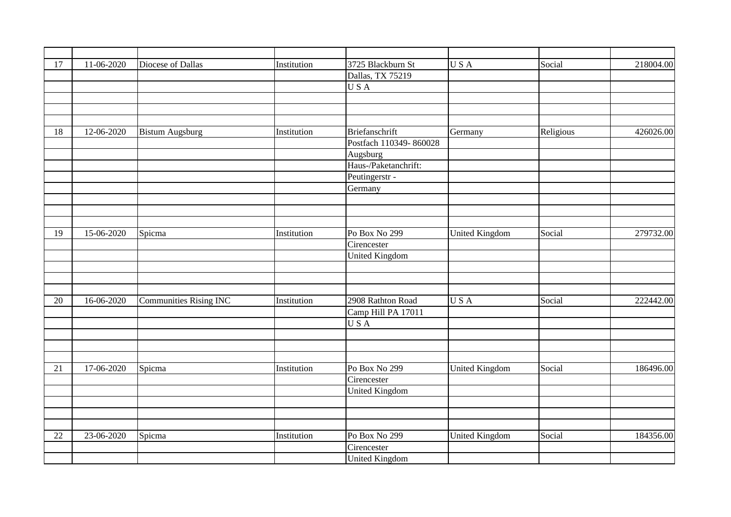|            |                                                                    |                                                                                                  |                                                                         |                                                                                                                                                                                                                                                                                                                                                               |                                                                                                  | 218004.00                                         |
|------------|--------------------------------------------------------------------|--------------------------------------------------------------------------------------------------|-------------------------------------------------------------------------|---------------------------------------------------------------------------------------------------------------------------------------------------------------------------------------------------------------------------------------------------------------------------------------------------------------------------------------------------------------|--------------------------------------------------------------------------------------------------|---------------------------------------------------|
|            |                                                                    |                                                                                                  |                                                                         |                                                                                                                                                                                                                                                                                                                                                               |                                                                                                  |                                                   |
|            |                                                                    |                                                                                                  |                                                                         |                                                                                                                                                                                                                                                                                                                                                               |                                                                                                  |                                                   |
|            |                                                                    |                                                                                                  |                                                                         |                                                                                                                                                                                                                                                                                                                                                               |                                                                                                  |                                                   |
|            |                                                                    |                                                                                                  |                                                                         |                                                                                                                                                                                                                                                                                                                                                               |                                                                                                  |                                                   |
|            |                                                                    |                                                                                                  |                                                                         |                                                                                                                                                                                                                                                                                                                                                               |                                                                                                  |                                                   |
|            |                                                                    |                                                                                                  |                                                                         |                                                                                                                                                                                                                                                                                                                                                               |                                                                                                  | 426026.00                                         |
|            |                                                                    |                                                                                                  |                                                                         |                                                                                                                                                                                                                                                                                                                                                               |                                                                                                  |                                                   |
|            |                                                                    |                                                                                                  |                                                                         |                                                                                                                                                                                                                                                                                                                                                               |                                                                                                  |                                                   |
|            |                                                                    |                                                                                                  |                                                                         |                                                                                                                                                                                                                                                                                                                                                               |                                                                                                  |                                                   |
|            |                                                                    |                                                                                                  |                                                                         |                                                                                                                                                                                                                                                                                                                                                               |                                                                                                  |                                                   |
|            |                                                                    |                                                                                                  |                                                                         |                                                                                                                                                                                                                                                                                                                                                               |                                                                                                  |                                                   |
|            |                                                                    |                                                                                                  |                                                                         |                                                                                                                                                                                                                                                                                                                                                               |                                                                                                  |                                                   |
|            |                                                                    |                                                                                                  |                                                                         |                                                                                                                                                                                                                                                                                                                                                               |                                                                                                  |                                                   |
|            |                                                                    |                                                                                                  |                                                                         |                                                                                                                                                                                                                                                                                                                                                               |                                                                                                  |                                                   |
|            |                                                                    |                                                                                                  |                                                                         |                                                                                                                                                                                                                                                                                                                                                               |                                                                                                  | 279732.00                                         |
|            |                                                                    |                                                                                                  |                                                                         |                                                                                                                                                                                                                                                                                                                                                               |                                                                                                  |                                                   |
|            |                                                                    |                                                                                                  |                                                                         |                                                                                                                                                                                                                                                                                                                                                               |                                                                                                  |                                                   |
|            |                                                                    |                                                                                                  |                                                                         |                                                                                                                                                                                                                                                                                                                                                               |                                                                                                  |                                                   |
|            |                                                                    |                                                                                                  |                                                                         |                                                                                                                                                                                                                                                                                                                                                               |                                                                                                  |                                                   |
|            |                                                                    |                                                                                                  |                                                                         |                                                                                                                                                                                                                                                                                                                                                               |                                                                                                  |                                                   |
|            |                                                                    |                                                                                                  |                                                                         |                                                                                                                                                                                                                                                                                                                                                               |                                                                                                  | 222442.00                                         |
|            |                                                                    |                                                                                                  |                                                                         |                                                                                                                                                                                                                                                                                                                                                               |                                                                                                  |                                                   |
|            |                                                                    |                                                                                                  |                                                                         |                                                                                                                                                                                                                                                                                                                                                               |                                                                                                  |                                                   |
|            |                                                                    |                                                                                                  |                                                                         |                                                                                                                                                                                                                                                                                                                                                               |                                                                                                  |                                                   |
|            |                                                                    |                                                                                                  |                                                                         |                                                                                                                                                                                                                                                                                                                                                               |                                                                                                  |                                                   |
|            |                                                                    |                                                                                                  |                                                                         |                                                                                                                                                                                                                                                                                                                                                               |                                                                                                  |                                                   |
|            |                                                                    |                                                                                                  |                                                                         |                                                                                                                                                                                                                                                                                                                                                               |                                                                                                  | 186496.00                                         |
|            |                                                                    |                                                                                                  |                                                                         |                                                                                                                                                                                                                                                                                                                                                               |                                                                                                  |                                                   |
|            |                                                                    |                                                                                                  |                                                                         |                                                                                                                                                                                                                                                                                                                                                               |                                                                                                  |                                                   |
|            |                                                                    |                                                                                                  |                                                                         |                                                                                                                                                                                                                                                                                                                                                               |                                                                                                  |                                                   |
|            |                                                                    |                                                                                                  |                                                                         |                                                                                                                                                                                                                                                                                                                                                               |                                                                                                  |                                                   |
|            |                                                                    |                                                                                                  |                                                                         |                                                                                                                                                                                                                                                                                                                                                               |                                                                                                  |                                                   |
| 23-06-2020 | Spicma                                                             | Institution                                                                                      | Po Box No 299                                                           |                                                                                                                                                                                                                                                                                                                                                               | Social                                                                                           | 184356.00                                         |
|            |                                                                    |                                                                                                  | Cirencester                                                             |                                                                                                                                                                                                                                                                                                                                                               |                                                                                                  |                                                   |
|            |                                                                    |                                                                                                  |                                                                         |                                                                                                                                                                                                                                                                                                                                                               |                                                                                                  |                                                   |
|            | 11-06-2020<br>12-06-2020<br>15-06-2020<br>16-06-2020<br>17-06-2020 | Diocese of Dallas<br><b>Bistum Augsburg</b><br>Spicma<br><b>Communities Rising INC</b><br>Spicma | Institution<br>Institution<br>Institution<br>Institution<br>Institution | 3725 Blackburn St<br>Dallas, TX 75219<br>USA<br><b>Briefanschrift</b><br>Postfach 110349-860028<br>Augsburg<br>Haus-/Paketanchrift:<br>Peutingerstr -<br>Germany<br>Po Box No 299<br>Cirencester<br><b>United Kingdom</b><br>2908 Rathton Road<br>Camp Hill PA 17011<br>USA<br>Po Box No 299<br>Cirencester<br><b>United Kingdom</b><br><b>United Kingdom</b> | USA<br>Germany<br><b>United Kingdom</b><br>USA<br><b>United Kingdom</b><br><b>United Kingdom</b> | Social<br>Religious<br>Social<br>Social<br>Social |